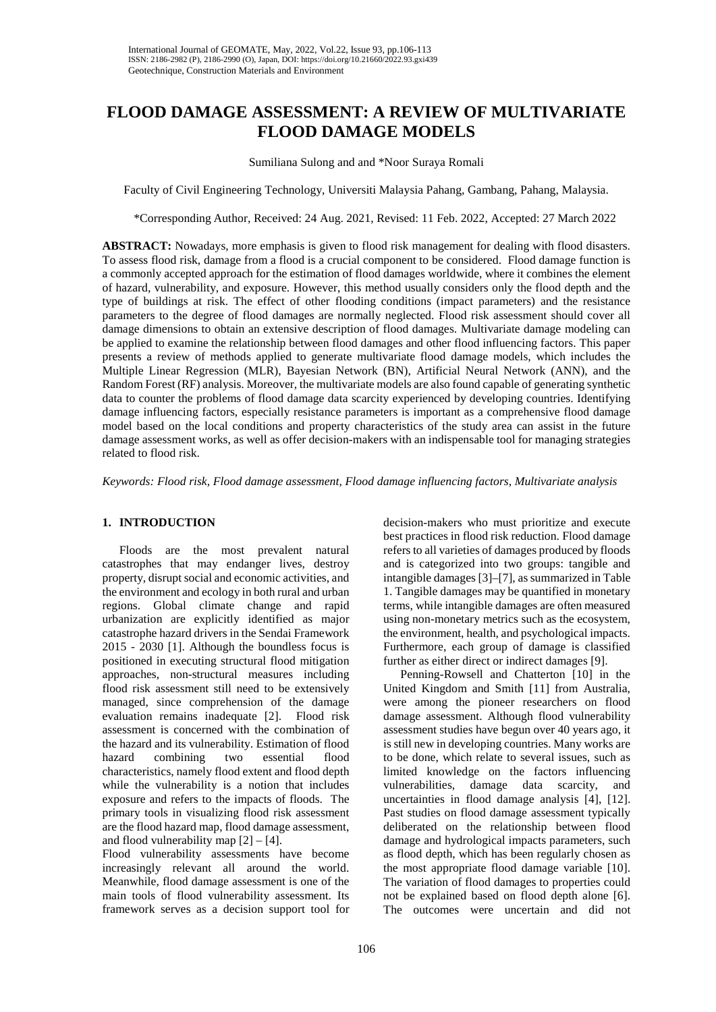# **FLOOD DAMAGE ASSESSMENT: A REVIEW OF MULTIVARIATE FLOOD DAMAGE MODELS**

#### Sumiliana Sulong and and \*Noor Suraya Romali

Faculty of Civil Engineering Technology, Universiti Malaysia Pahang, Gambang, Pahang, Malaysia.

\*Corresponding Author, Received: 24 Aug. 2021, Revised: 11 Feb. 2022, Accepted: 27 March 2022

**ABSTRACT:** Nowadays, more emphasis is given to flood risk management for dealing with flood disasters. To assess flood risk, damage from a flood is a crucial component to be considered. Flood damage function is a commonly accepted approach for the estimation of flood damages worldwide, where it combines the element of hazard, vulnerability, and exposure. However, this method usually considers only the flood depth and the type of buildings at risk. The effect of other flooding conditions (impact parameters) and the resistance parameters to the degree of flood damages are normally neglected. Flood risk assessment should cover all damage dimensions to obtain an extensive description of flood damages. Multivariate damage modeling can be applied to examine the relationship between flood damages and other flood influencing factors. This paper presents a review of methods applied to generate multivariate flood damage models, which includes the Multiple Linear Regression (MLR), Bayesian Network (BN), Artificial Neural Network (ANN), and the Random Forest (RF) analysis. Moreover, the multivariate models are also found capable of generating synthetic data to counter the problems of flood damage data scarcity experienced by developing countries. Identifying damage influencing factors, especially resistance parameters is important as a comprehensive flood damage model based on the local conditions and property characteristics of the study area can assist in the future damage assessment works, as well as offer decision-makers with an indispensable tool for managing strategies related to flood risk.

*Keywords: Flood risk, Flood damage assessment, Flood damage influencing factors, Multivariate analysis*

## **1. INTRODUCTION**

Floods are the most prevalent natural catastrophes that may endanger lives, destroy property, disrupt social and economic activities, and the environment and ecology in both rural and urban regions. Global climate change and rapid urbanization are explicitly identified as major catastrophe hazard drivers in the Sendai Framework 2015 - 2030 [1]. Although the boundless focus is positioned in executing structural flood mitigation approaches, non-structural measures including flood risk assessment still need to be extensively managed, since comprehension of the damage evaluation remains inadequate [2]. Flood risk assessment is concerned with the combination of the hazard and its vulnerability. Estimation of flood hazard combining two essential flood characteristics, namely flood extent and flood depth while the vulnerability is a notion that includes exposure and refers to the impacts of floods. The primary tools in visualizing flood risk assessment are the flood hazard map, flood damage assessment, and flood vulnerability map  $[2] - [4]$ .

Flood vulnerability assessments have become increasingly relevant all around the world. Meanwhile, flood damage assessment is one of the main tools of flood vulnerability assessment. Its framework serves as a decision support tool for

decision-makers who must prioritize and execute best practices in flood risk reduction. Flood damage refers to all varieties of damages produced by floods and is categorized into two groups: tangible and intangible damages [3]–[7], as summarized in Table 1. Tangible damages may be quantified in monetary terms, while intangible damages are often measured using non-monetary metrics such as the ecosystem, the environment, health, and psychological impacts. Furthermore, each group of damage is classified further as either direct or indirect damages [9].

Penning-Rowsell and Chatterton [10] in the United Kingdom and Smith [11] from Australia, were among the pioneer researchers on flood damage assessment. Although flood vulnerability assessment studies have begun over 40 years ago, it is still new in developing countries. Many works are to be done, which relate to several issues, such as limited knowledge on the factors influencing vulnerabilities, damage data scarcity, and uncertainties in flood damage analysis [4], [12]. Past studies on flood damage assessment typically deliberated on the relationship between flood damage and hydrological impacts parameters, such as flood depth, which has been regularly chosen as the most appropriate flood damage variable [10]. The variation of flood damages to properties could not be explained based on flood depth alone [6]. The outcomes were uncertain and did not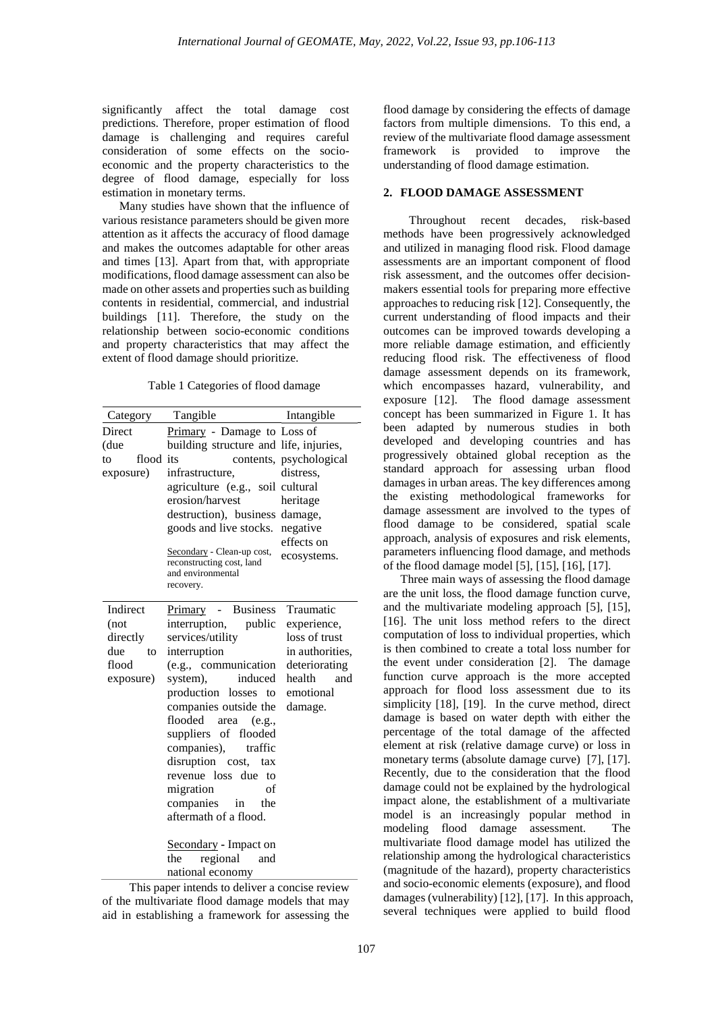significantly affect the total damage cost predictions. Therefore, proper estimation of flood damage is challenging and requires careful consideration of some effects on the socioeconomic and the property characteristics to the degree of flood damage, especially for loss estimation in monetary terms.

Many studies have shown that the influence of various resistance parameters should be given more attention as it affects the accuracy of flood damage and makes the outcomes adaptable for other areas and times [13]. Apart from that, with appropriate modifications, flood damage assessment can also be made on other assets and properties such as building contents in residential, commercial, and industrial buildings [11]. Therefore, the study on the relationship between socio-economic conditions and property characteristics that may affect the extent of flood damage should prioritize.

Table 1 Categories of flood damage

| Category        | Tangible                               | Intangible              |
|-----------------|----------------------------------------|-------------------------|
| Direct          | Primary - Damage to Loss of            |                         |
| (due            | building structure and life, injuries, |                         |
| flood its<br>to |                                        | contents, psychological |
| exposure)       | infrastructure,                        | distress,               |
|                 | agriculture (e.g., soil cultural       |                         |
|                 | erosion/harvest                        | heritage                |
|                 | destruction), business                 | damage,                 |
|                 | goods and live stocks.                 | negative                |
|                 | Secondary - Clean-up cost,             | effects on              |
|                 | reconstructing cost, land              | ecosystems.             |
|                 | and environmental                      |                         |
|                 | recovery.                              |                         |
| Indirect        | <b>Business</b><br><u>Primary</u> -    | Traumatic               |
| (not            | interruption,<br>public                | experience,             |
| directly        | services/utility                       | loss of trust           |
| due<br>to       | interruption                           | in authorities.         |
| flood           | (e.g., communication                   | deteriorating           |
| exposure)       | induced<br>system),                    | health<br>and           |
|                 | production losses to                   | emotional               |
|                 | companies outside the                  | damage.                 |
|                 | flooded<br>(e.g.,<br>area              |                         |
|                 | suppliers of flooded                   |                         |
|                 | companies),<br>traffic                 |                         |
|                 | disruption cost,<br>tax                |                         |
|                 | revenue loss due<br>to                 |                         |
|                 | of<br>migration                        |                         |
|                 | companies in<br>the                    |                         |
|                 | aftermath of a flood.                  |                         |
|                 | <b>Secondary</b> - Impact on           |                         |
|                 | regional<br>the<br>and                 |                         |
|                 | national economy                       |                         |
|                 |                                        |                         |

This paper intends to deliver a concise review of the multivariate flood damage models that may aid in establishing a framework for assessing the

flood damage by considering the effects of damage factors from multiple dimensions. To this end, a review of the multivariate flood damage assessment framework is provided to improve the understanding of flood damage estimation.

## **2. FLOOD DAMAGE ASSESSMENT**

Throughout recent decades, risk-based methods have been progressively acknowledged and utilized in managing flood risk. Flood damage assessments are an important component of flood risk assessment, and the outcomes offer decisionmakers essential tools for preparing more effective approaches to reducing risk [12]. Consequently, the current understanding of flood impacts and their outcomes can be improved towards developing a more reliable damage estimation, and efficiently reducing flood risk. The effectiveness of flood damage assessment depends on its framework, which encompasses hazard, vulnerability, and exposure [12]. The flood damage assessment concept has been summarized in Figure 1. It has been adapted by numerous studies in both developed and developing countries and has progressively obtained global reception as the standard approach for assessing urban flood damages in urban areas. The key differences among the existing methodological frameworks for damage assessment are involved to the types of flood damage to be considered, spatial scale approach, analysis of exposures and risk elements, parameters influencing flood damage, and methods of the flood damage model [5], [15], [16], [17].

Three main ways of assessing the flood damage are the unit loss, the flood damage function curve, and the multivariate modeling approach [5], [15], [16]. The unit loss method refers to the direct computation of loss to individual properties, which is then combined to create a total loss number for the event under consideration [2]. The damage function curve approach is the more accepted approach for flood loss assessment due to its simplicity [18], [19]. In the curve method, direct damage is based on water depth with either the percentage of the total damage of the affected element at risk (relative damage curve) or loss in monetary terms (absolute damage curve) [7], [17]. Recently, due to the consideration that the flood damage could not be explained by the hydrological impact alone, the establishment of a multivariate model is an increasingly popular method in modeling flood damage assessment. The multivariate flood damage model has utilized the relationship among the hydrological characteristics (magnitude of the hazard), property characteristics and socio-economic elements (exposure), and flood damages (vulnerability) [12], [17]. In this approach, several techniques were applied to build flood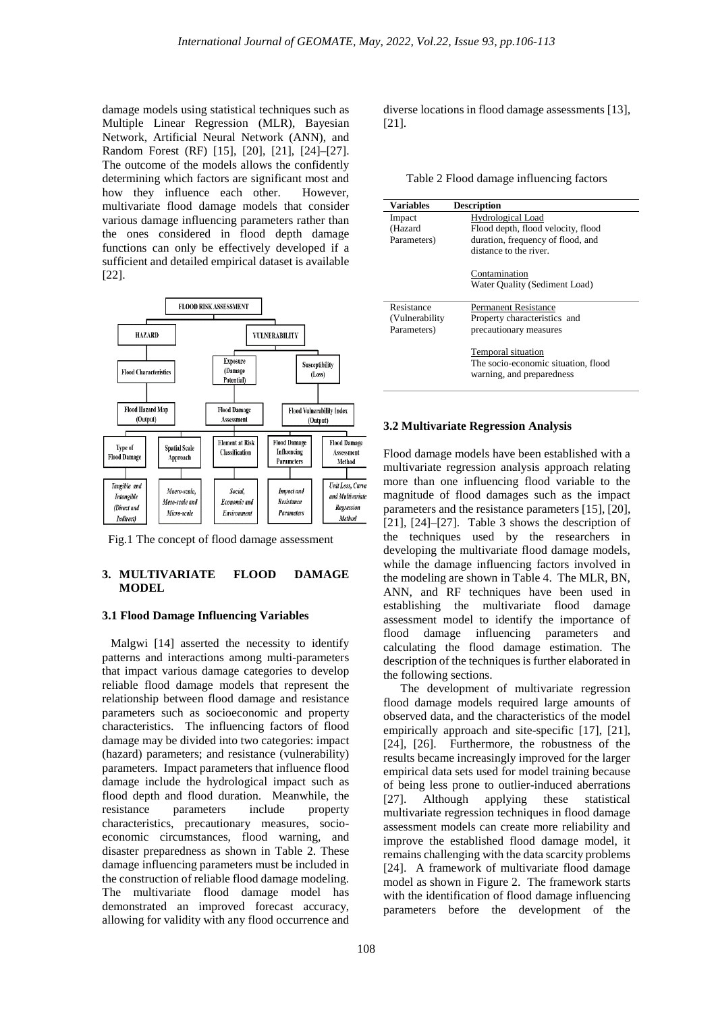damage models using statistical techniques such as Multiple Linear Regression (MLR), Bayesian Network, Artificial Neural Network (ANN), and Random Forest (RF) [15], [20], [21], [24]–[27]. The outcome of the models allows the confidently determining which factors are significant most and how they influence each other. However, multivariate flood damage models that consider various damage influencing parameters rather than the ones considered in flood depth damage functions can only be effectively developed if a sufficient and detailed empirical dataset is available [22].



Fig.1 The concept of flood damage assessment

#### **3. MULTIVARIATE FLOOD DAMAGE MODEL**

#### **3.1 Flood Damage Influencing Variables**

Malgwi [14] asserted the necessity to identify patterns and interactions among multi-parameters that impact various damage categories to develop reliable flood damage models that represent the relationship between flood damage and resistance parameters such as socioeconomic and property characteristics. The influencing factors of flood damage may be divided into two categories: impact (hazard) parameters; and resistance (vulnerability) parameters. Impact parameters that influence flood damage include the hydrological impact such as flood depth and flood duration. Meanwhile, the resistance parameters include property characteristics, precautionary measures, socioeconomic circumstances, flood warning, and disaster preparedness as shown in Table 2. These damage influencing parameters must be included in the construction of reliable flood damage modeling. The multivariate flood damage model has demonstrated an improved forecast accuracy, allowing for validity with any flood occurrence and diverse locations in flood damage assessments [13], [21].

|  | Table 2 Flood damage influencing factors |  |
|--|------------------------------------------|--|
|--|------------------------------------------|--|

| <b>Variables</b> | <b>Description</b>                                                                     |
|------------------|----------------------------------------------------------------------------------------|
| Impact           | Hydrological Load                                                                      |
| (Hazard          | Flood depth, flood velocity, flood                                                     |
| Parameters)      | duration, frequency of flood, and                                                      |
|                  | distance to the river.                                                                 |
|                  | Contamination                                                                          |
|                  | Water Ouality (Sediment Load)                                                          |
| Resistance       | Permanent Resistance                                                                   |
| (Vulnerability)  | Property characteristics and                                                           |
| Parameters)      | precautionary measures                                                                 |
|                  | Temporal situation<br>The socio-economic situation, flood<br>warning, and preparedness |

## **3.2 Multivariate Regression Analysis**

Flood damage models have been established with a multivariate regression analysis approach relating more than one influencing flood variable to the magnitude of flood damages such as the impact parameters and the resistance parameters [15], [20], [21], [24]–[27]. Table 3 shows the description of the techniques used by the researchers in developing the multivariate flood damage models, while the damage influencing factors involved in the modeling are shown in Table 4. The MLR, BN, ANN, and RF techniques have been used in establishing the multivariate flood damage assessment model to identify the importance of flood damage influencing parameters and calculating the flood damage estimation. The description of the techniques is further elaborated in the following sections.

The development of multivariate regression flood damage models required large amounts of observed data, and the characteristics of the model empirically approach and site-specific [17], [21], [24], [26]. Furthermore, the robustness of the results became increasingly improved for the larger empirical data sets used for model training because of being less prone to outlier-induced aberrations [27]. Although applying these statistical multivariate regression techniques in flood damage assessment models can create more reliability and improve the established flood damage model, it remains challenging with the data scarcity problems [24]. A framework of multivariate flood damage model as shown in Figure 2. The framework starts with the identification of flood damage influencing parameters before the development of the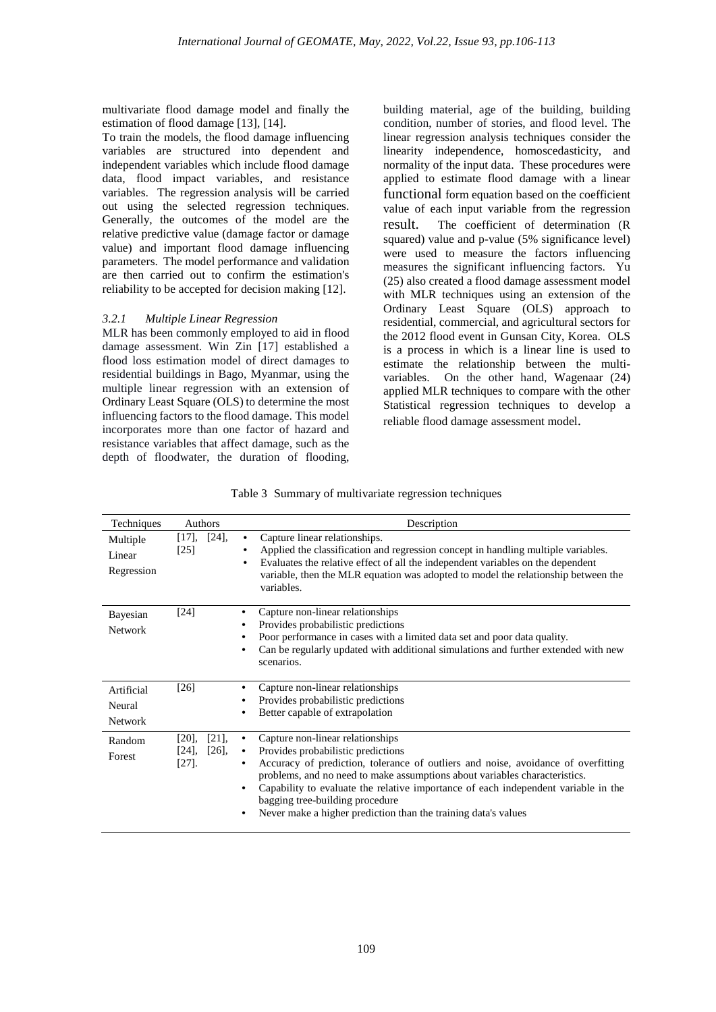multivariate flood damage model and finally the estimation of flood damage [13], [14].

To train the models, the flood damage influencing variables are structured into dependent and independent variables which include flood damage data, flood impact variables, and resistance variables. The regression analysis will be carried out using the selected regression techniques. Generally, the outcomes of the model are the relative predictive value (damage factor or damage value) and important flood damage influencing parameters. The model performance and validation are then carried out to confirm the estimation's reliability to be accepted for decision making [12].

## *3.2.1 Multiple Linear Regression*

MLR has been commonly employed to aid in flood damage assessment. Win Zin [17] established a flood loss estimation model of direct damages to residential buildings in Bago, Myanmar, using the multiple linear regression with an extension of Ordinary Least Square (OLS) to determine the most influencing factors to the flood damage. This model incorporates more than one factor of hazard and resistance variables that affect damage, such as the depth of floodwater, the duration of flooding,

building material, age of the building, building condition, number of stories, and flood level. The linear regression analysis techniques consider the linearity independence, homoscedasticity, and normality of the input data. These procedures were applied to estimate flood damage with a linear functional form equation based on the coefficient value of each input variable from the regression result. The coefficient of determination (R squared) value and p-value (5% significance level) were used to measure the factors influencing measures the significant influencing factors. Yu (25) also created a flood damage assessment model with MLR techniques using an extension of the Ordinary Least Square (OLS) approach to residential, commercial, and agricultural sectors for the 2012 flood event in Gunsan City, Korea. OLS is a process in which is a linear line is used to estimate the relationship between the multivariables. On the other hand, Wagenaar (24) applied MLR techniques to compare with the other Statistical regression techniques to develop a reliable flood damage assessment model.

|  |  | Table 3 Summary of multivariate regression techniques |  |  |
|--|--|-------------------------------------------------------|--|--|
|--|--|-------------------------------------------------------|--|--|

| Techniques                             | Authors                                                  | Description                                                                                                                                                                                                                                                                                                                                                                                                                               |
|----------------------------------------|----------------------------------------------------------|-------------------------------------------------------------------------------------------------------------------------------------------------------------------------------------------------------------------------------------------------------------------------------------------------------------------------------------------------------------------------------------------------------------------------------------------|
| Multiple<br>Linear<br>Regression       | $[24]$ ,<br>$[17]$ ,<br>[25]                             | Capture linear relationships.<br>٠<br>Applied the classification and regression concept in handling multiple variables.<br>٠<br>Evaluates the relative effect of all the independent variables on the dependent<br>٠<br>variable, then the MLR equation was adopted to model the relationship between the<br>variables.                                                                                                                   |
| Bayesian<br><b>Network</b>             | [24]                                                     | Capture non-linear relationships<br>Provides probabilistic predictions<br>Poor performance in cases with a limited data set and poor data quality.<br>Can be regularly updated with additional simulations and further extended with new<br>scenarios.                                                                                                                                                                                    |
| Artificial<br>Neural<br><b>Network</b> | $[26]$                                                   | Capture non-linear relationships<br>Provides probabilistic predictions<br>Better capable of extrapolation                                                                                                                                                                                                                                                                                                                                 |
| Random<br>Forest                       | $[21]$ ,<br>$[20]$ ,<br>$[26]$ ,<br>$[24]$ ,<br>$[27]$ . | Capture non-linear relationships<br>Provides probabilistic predictions<br>Accuracy of prediction, tolerance of outliers and noise, avoidance of overfitting<br>problems, and no need to make assumptions about variables characteristics.<br>Capability to evaluate the relative importance of each independent variable in the<br>٠<br>bagging tree-building procedure<br>Never make a higher prediction than the training data's values |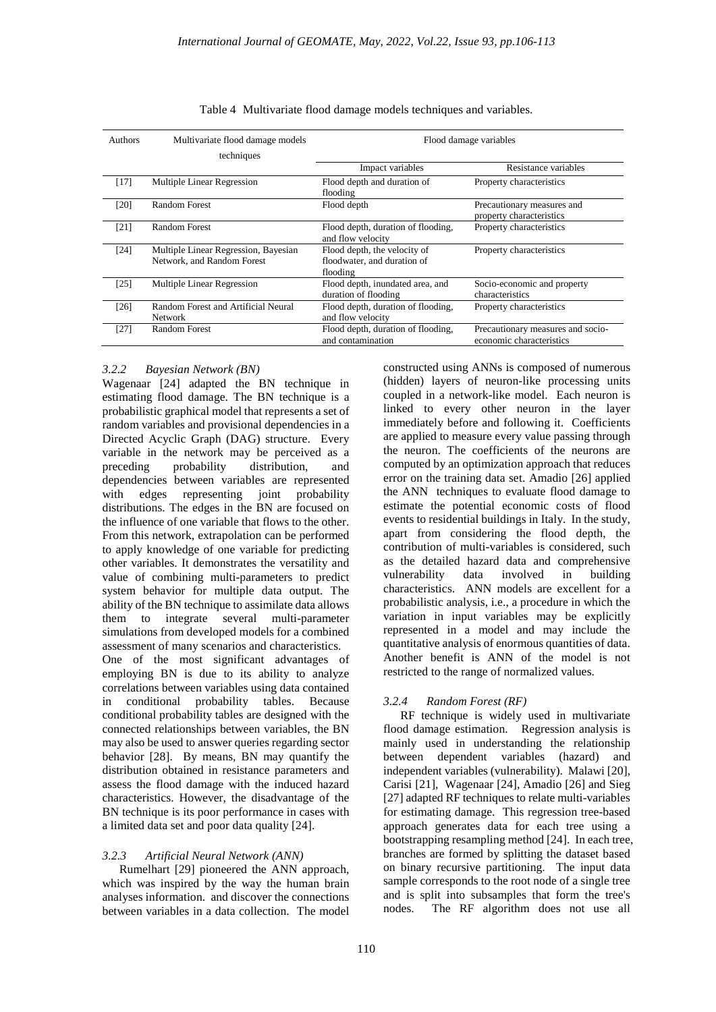| <b>Authors</b> | Multivariate flood damage models<br>techniques                     | Flood damage variables                                                  |                                                               |  |
|----------------|--------------------------------------------------------------------|-------------------------------------------------------------------------|---------------------------------------------------------------|--|
|                |                                                                    | Impact variables                                                        | Resistance variables                                          |  |
| $[17]$         | Multiple Linear Regression                                         | Flood depth and duration of<br>flooding                                 | Property characteristics                                      |  |
| [20]           | Random Forest                                                      | Flood depth                                                             | Precautionary measures and<br>property characteristics        |  |
| [21]           | Random Forest                                                      | Flood depth, duration of flooding,<br>and flow velocity                 | Property characteristics                                      |  |
| $[24]$         | Multiple Linear Regression, Bayesian<br>Network, and Random Forest | Flood depth, the velocity of<br>floodwater, and duration of<br>flooding | Property characteristics                                      |  |
| [25]           | <b>Multiple Linear Regression</b>                                  | Flood depth, inundated area, and<br>duration of flooding                | Socio-economic and property<br>characteristics                |  |
| $[26]$         | Random Forest and Artificial Neural<br><b>Network</b>              | Flood depth, duration of flooding,<br>and flow velocity                 | Property characteristics                                      |  |
| $[27]$         | Random Forest                                                      | Flood depth, duration of flooding,<br>and contamination                 | Precautionary measures and socio-<br>economic characteristics |  |

| Table 4 Multivariate flood damage models techniques and variables. |  |
|--------------------------------------------------------------------|--|
|--------------------------------------------------------------------|--|

## *3.2.2 Bayesian Network (BN)*

Wagenaar [24] adapted the BN technique in estimating flood damage. The BN technique is a probabilistic graphical model that represents a set of random variables and provisional dependencies in a Directed Acyclic Graph (DAG) structure. Every variable in the network may be perceived as a<br>preceding sprobability distribution, and distribution, and dependencies between variables are represented<br>with edges representing joint probability with edges representing joint distributions. The edges in the BN are focused on the influence of one variable that flows to the other. From this network, extrapolation can be performed to apply knowledge of one variable for predicting other variables. It demonstrates the versatility and value of combining multi-parameters to predict system behavior for multiple data output. The ability of the BN technique to assimilate data allows them to integrate several multi-parameter simulations from developed models for a combined assessment of many scenarios and characteristics. One of the most significant advantages of employing BN is due to its ability to analyze

correlations between variables using data contained in conditional probability tables. Because conditional probability tables are designed with the connected relationships between variables, the BN may also be used to answer queries regarding sector behavior [28]. By means, BN may quantify the distribution obtained in resistance parameters and assess the flood damage with the induced hazard characteristics. However, the disadvantage of the BN technique is its poor performance in cases with a limited data set and poor data quality [24].

## *3.2.3 Artificial Neural Network (ANN)*

Rumelhart [29] pioneered the ANN approach, which was inspired by the way the human brain analyses information. and discover the connections between variables in a data collection. The model constructed using ANNs is composed of numerous (hidden) layers of neuron-like processing units coupled in a network-like model. Each neuron is linked to every other neuron in the layer immediately before and following it. Coefficients are applied to measure every value passing through the neuron. The coefficients of the neurons are computed by an optimization approach that reduces error on the training data set. Amadio [26] applied the ANN techniques to evaluate flood damage to estimate the potential economic costs of flood events to residential buildings in Italy. In the study, apart from considering the flood depth, the contribution of multi-variables is considered, such as the detailed hazard data and comprehensive vulnerability data involved in characteristics. ANN models are excellent for a probabilistic analysis, i.e., a procedure in which the variation in input variables may be explicitly represented in a model and may include the quantitative analysis of enormous quantities of data. Another benefit is ANN of the model is not restricted to the range of normalized values.

## *3.2.4 Random Forest (RF)*

RF technique is widely used in multivariate flood damage estimation. Regression analysis is mainly used in understanding the relationship between dependent variables (hazard) and independent variables (vulnerability). Malawi [20], Carisi [21], Wagenaar [24], Amadio [26] and Sieg [27] adapted RF techniques to relate multi-variables for estimating damage. This regression tree-based approach generates data for each tree using a bootstrapping resampling method [24]. In each tree, branches are formed by splitting the dataset based on binary recursive partitioning. The input data sample corresponds to the root node of a single tree and is split into subsamples that form the tree's nodes. The RF algorithm does not use all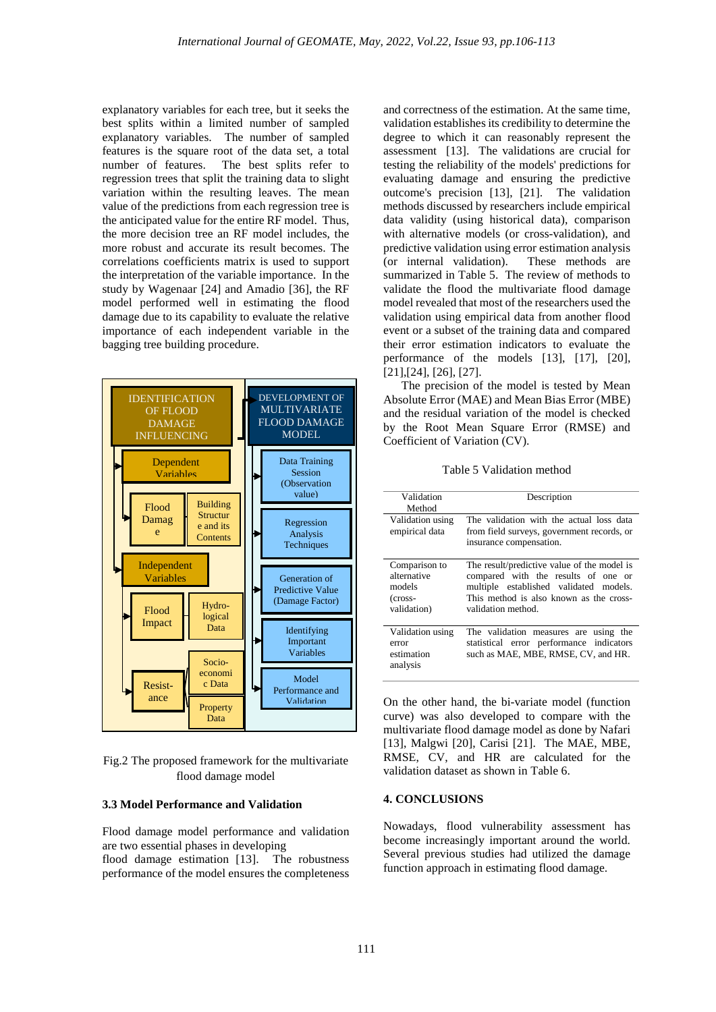explanatory variables for each tree, but it seeks the best splits within a limited number of sampled explanatory variables. The number of sampled features is the square root of the data set, a total The best splits refer to regression trees that split the training data to slight variation within the resulting leaves. The mean value of the predictions from each regression tree is the anticipated value for the entire RF model. Thus, the more decision tree an RF model includes, the more robust and accurate its result becomes. The correlations coefficients matrix is used to support the interpretation of the variable importance. In the study by Wagenaar [24] and Amadio [36], the RF model performed well in estimating the flood damage due to its capability to evaluate the relative importance of each independent variable in the bagging tree building procedure.



# Fig.2 The proposed framework for the multivariate flood damage model

#### **3.3 Model Performance and Validation**

Flood damage model performance and validation are two essential phases in developing

flood damage estimation [13]. The robustness performance of the model ensures the completeness

and correctness of the estimation. At the same time, validation establishes its credibility to determine the degree to which it can reasonably represent the assessment [13]. The validations are crucial for testing the reliability of the models' predictions for evaluating damage and ensuring the predictive outcome's precision [13], [21]. The validation methods discussed by researchers include empirical data validity (using historical data), comparison with alternative models (or cross-validation), and predictive validation using error estimation analysis (or internal validation). These methods are summarized in Table 5. The review of methods to validate the flood the multivariate flood damage model revealed that most of the researchers used the validation using empirical data from another flood event or a subset of the training data and compared their error estimation indicators to evaluate the performance of the models [13], [17], [20], [21],[24], [26], [27].

 The precision of the model is tested by Mean Absolute Error (MAE) and Mean Bias Error (MBE) and the residual variation of the model is checked by the Root Mean Square Error (RMSE) and Coefficient of Variation (CV).

Table 5 Validation method

| Validation<br>Method                                             | Description                                                                                                                                                                                   |
|------------------------------------------------------------------|-----------------------------------------------------------------------------------------------------------------------------------------------------------------------------------------------|
| Validation using<br>empirical data                               | The validation with the actual loss data<br>from field surveys, government records, or<br>insurance compensation.                                                                             |
| Comparison to<br>alternative<br>models<br>(cross-<br>validation) | The result/predictive value of the model is<br>compared with the results of one or<br>multiple established validated models.<br>This method is also known as the cross-<br>validation method. |
| Validation using<br>error<br>estimation<br>analysis              | The validation measures are<br>using the<br>statistical error performance indicators<br>such as MAE, MBE, RMSE, CV, and HR.                                                                   |

On the other hand, the bi-variate model (function curve) was also developed to compare with the multivariate flood damage model as done by Nafari [13], Malgwi [20], Carisi [21]. The MAE, MBE, RMSE, CV, and HR are calculated for the validation dataset as shown in Table 6.

#### **4. CONCLUSIONS**

Nowadays, flood vulnerability assessment has become increasingly important around the world. Several previous studies had utilized the damage function approach in estimating flood damage.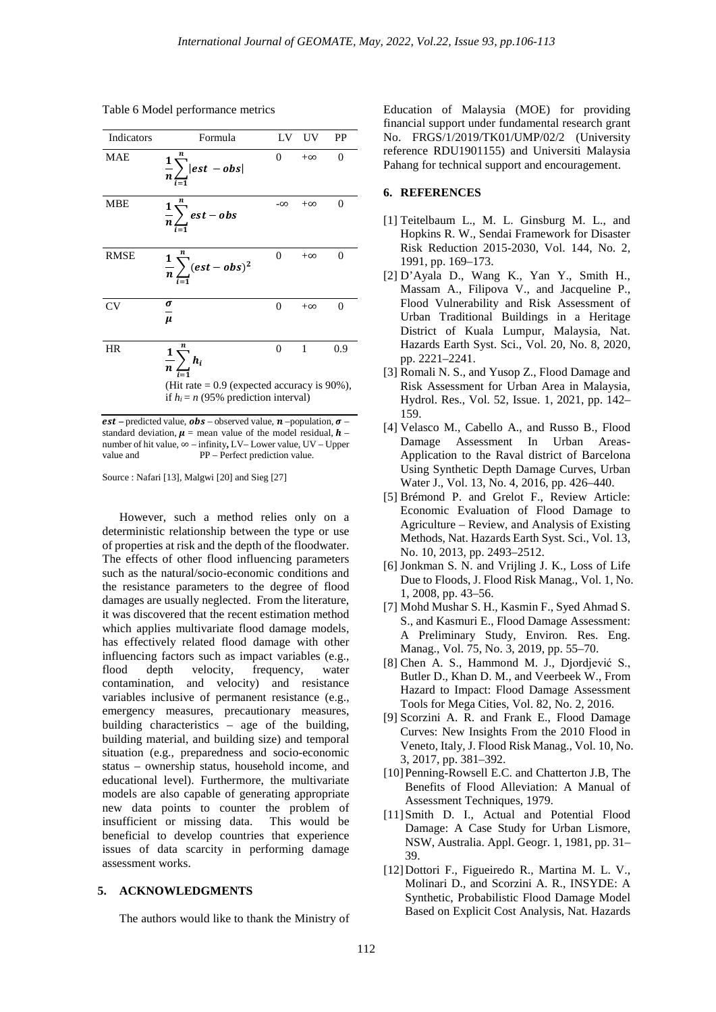| Table 6 Model performance metrics |  |  |
|-----------------------------------|--|--|
|-----------------------------------|--|--|

| Indicators  | Formula                                                                                                                   | LV        | <b>UV</b> | PP  |
|-------------|---------------------------------------------------------------------------------------------------------------------------|-----------|-----------|-----|
| MAE         | $rac{1}{n}\sum_{n=1}^{\infty}  est - obs $                                                                                | 0         | $+\infty$ | 0   |
| <b>MBE</b>  | $\frac{1}{n}\sum_{i=1}^{n} est - obs$                                                                                     | $-\infty$ | $+\infty$ | 0   |
| <b>RMSE</b> | $\frac{1}{n}\sum_{n}^{n}(est - obs)^2$                                                                                    | 0         | $+\infty$ | 0   |
| CV          | $\frac{\sigma}{\sigma}$<br>$\mu$                                                                                          | 0         | $+\infty$ | 0   |
| HR          | $\frac{1}{n}\sum_{i=1}^{n}h_i$<br>(Hit rate $= 0.9$ (expected accuracy is 90%),<br>if $h_i = n$ (95% prediction interval) | $\Omega$  | 1         | 0.9 |

*est* – predicted value, *obs* – observed value, *n* – population,  $\sigma$  – standard deviation,  $\mu$  = mean value of the model residual,  $\boldsymbol{h}$  – number of hit value, ∞ – infinity**,** LV– Lower value, UV – Upper PP – Perfect prediction value.

Source : Nafari [13], Malgwi [20] and Sieg [27]

However, such a method relies only on a deterministic relationship between the type or use of properties at risk and the depth of the floodwater. The effects of other flood influencing parameters such as the natural/socio-economic conditions and the resistance parameters to the degree of flood damages are usually neglected. From the literature, it was discovered that the recent estimation method which applies multivariate flood damage models, has effectively related flood damage with other influencing factors such as impact variables (e.g., flood depth velocity, frequency, water contamination, and velocity) and resistance variables inclusive of permanent resistance (e.g., emergency measures, precautionary measures, building characteristics – age of the building, building material, and building size) and temporal situation (e.g., preparedness and socio-economic status – ownership status, household income, and educational level). Furthermore, the multivariate models are also capable of generating appropriate new data points to counter the problem of insufficient or missing data. This would be beneficial to develop countries that experience issues of data scarcity in performing damage assessment works.

## **5. ACKNOWLEDGMENTS**

The authors would like to thank the Ministry of

Education of Malaysia (MOE) for providing financial support under fundamental research grant No. FRGS/1/2019/TK01/UMP/02/2 (University reference RDU1901155) and Universiti Malaysia Pahang for technical support and encouragement.

#### **6. REFERENCES**

- [1] Teitelbaum L., M. L. Ginsburg M. L., and Hopkins R. W., Sendai Framework for Disaster Risk Reduction 2015-2030, Vol. 144, No. 2, 1991, pp. 169–173.
- [2] D'Ayala D., Wang K., Yan Y., Smith H., Massam A., Filipova V., and Jacqueline P., Flood Vulnerability and Risk Assessment of Urban Traditional Buildings in a Heritage District of Kuala Lumpur, Malaysia, Nat. Hazards Earth Syst. Sci., Vol. 20, No. 8, 2020, pp. 2221–2241.
- [3] Romali N. S., and Yusop Z., Flood Damage and Risk Assessment for Urban Area in Malaysia, Hydrol. Res., Vol. 52, Issue. 1, 2021, pp. 142– 159.
- [4] Velasco M., Cabello A., and Russo B., Flood Damage Assessment In Urban Areas-Application to the Raval district of Barcelona Using Synthetic Depth Damage Curves, Urban Water J., Vol. 13, No. 4, 2016, pp. 426–440.
- [5] Brémond P. and Grelot F., Review Article: Economic Evaluation of Flood Damage to Agriculture – Review, and Analysis of Existing Methods, Nat. Hazards Earth Syst. Sci., Vol. 13, No. 10, 2013, pp. 2493–2512.
- [6] Jonkman S. N. and Vrijling J. K., Loss of Life Due to Floods, J. Flood Risk Manag., Vol. 1, No. 1, 2008, pp. 43–56.
- [7] Mohd Mushar S. H., Kasmin F., Syed Ahmad S. S., and Kasmuri E., Flood Damage Assessment: A Preliminary Study, Environ. Res. Eng. Manag., Vol. 75, No. 3, 2019, pp. 55–70.
- [8] Chen A. S., Hammond M. J., Djordjević S., Butler D., Khan D. M., and Veerbeek W., From Hazard to Impact: Flood Damage Assessment Tools for Mega Cities, Vol. 82, No. 2, 2016.
- [9] Scorzini A. R. and Frank E., Flood Damage Curves: New Insights From the 2010 Flood in Veneto, Italy, J. Flood Risk Manag., Vol. 10, No. 3, 2017, pp. 381–392.
- [10] Penning-Rowsell E.C. and Chatterton J.B, The Benefits of Flood Alleviation: A Manual of Assessment Techniques, 1979.
- [11]Smith D. I., Actual and Potential Flood Damage: A Case Study for Urban Lismore, NSW, Australia. Appl. Geogr. 1, 1981, pp. 31– 39.
- [12]Dottori F., Figueiredo R., Martina M. L. V., Molinari D., and Scorzini A. R., INSYDE: A Synthetic, Probabilistic Flood Damage Model Based on Explicit Cost Analysis, Nat. Hazards